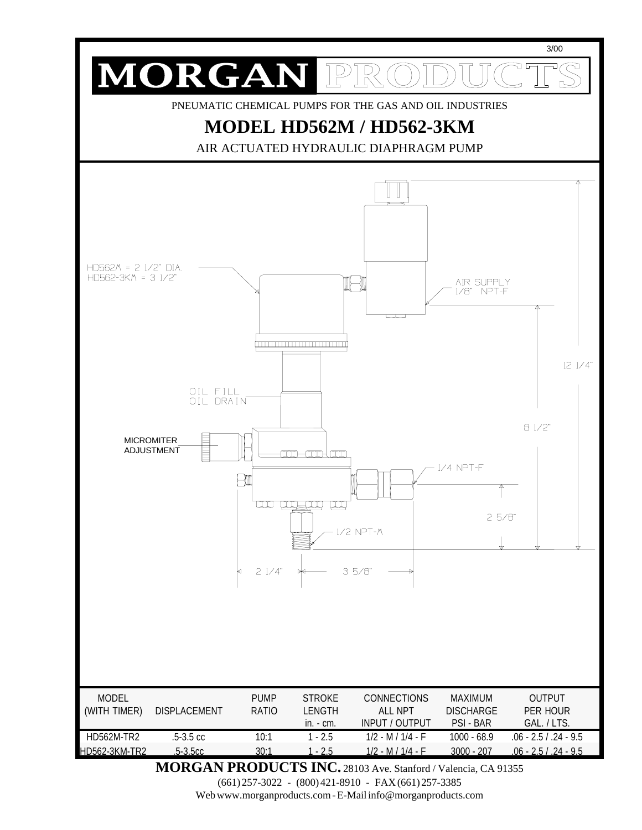

**MORGAN PRODUCTS INC.** 28103 Ave. Stanford / Valencia, CA 91355

(661) 257-3022 - (800) 421-8910 - FAX (661) 257-3385

Web www.morganproducts.com - E-Mail info@morganproducts.com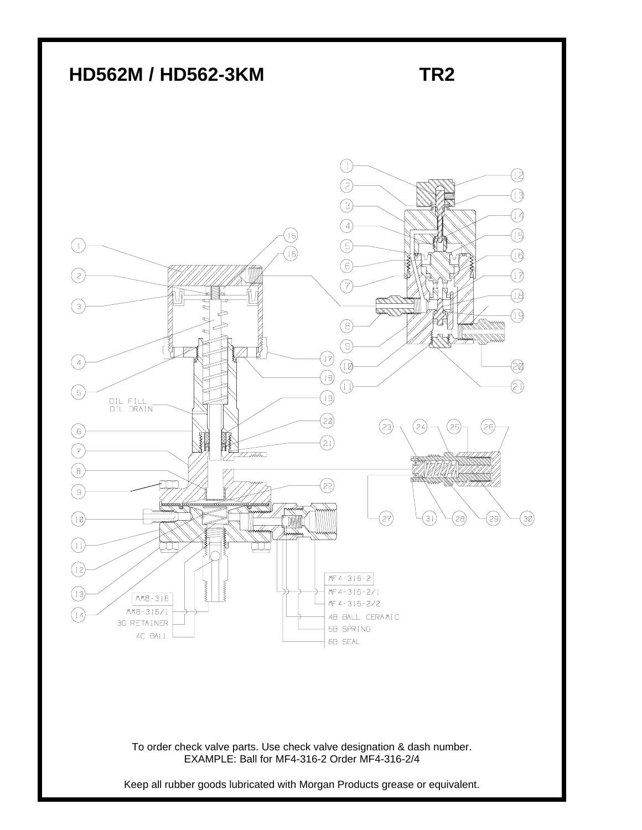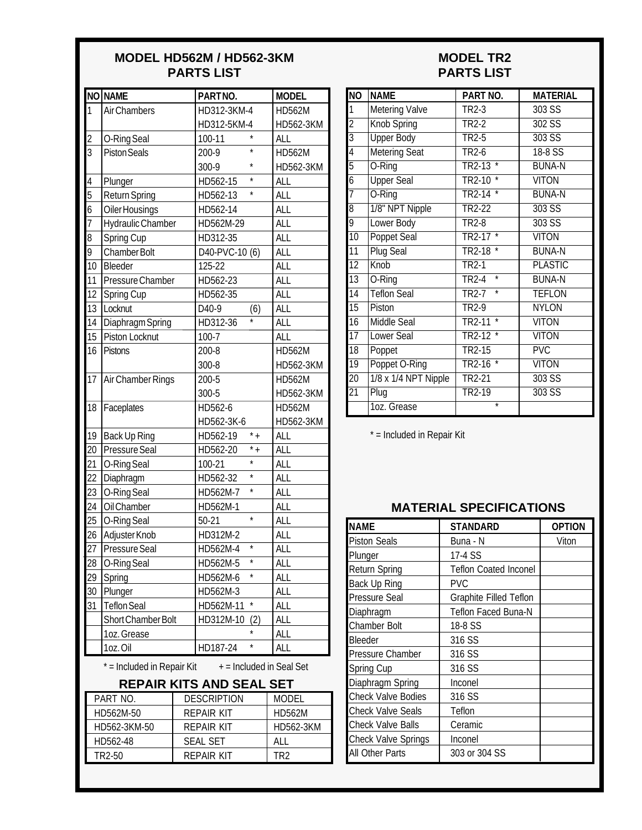#### **MODEL HD562M / HD562-3KM PARTS LIST**

|                 | NO NAME                                                | PARTNO.                        | <b>MODEL</b>  |  |  |  |
|-----------------|--------------------------------------------------------|--------------------------------|---------------|--|--|--|
| 1               | <b>Air Chambers</b>                                    | HD312-3KM-4                    | <b>HD562M</b> |  |  |  |
|                 |                                                        | HD312-5KM-4                    | HD562-3KM     |  |  |  |
| $\overline{2}$  | O-Ring Seal                                            | $\star$<br>100-11              | <b>ALL</b>    |  |  |  |
| 3               | <b>Piston Seals</b>                                    | $\star$<br>200-9               | <b>HD562M</b> |  |  |  |
|                 |                                                        | *<br>300-9                     | HD562-3KM     |  |  |  |
| 4               | Plunger                                                | HD562-15                       | ALL           |  |  |  |
| 5               | <b>Return Spring</b>                                   | $\star$<br>HD562-13            | <b>ALL</b>    |  |  |  |
| 6               | <b>Oiler Housings</b>                                  | HD562-14                       | <b>ALL</b>    |  |  |  |
| $\overline{1}$  | Hydraulic Chamber                                      | HD562M-29                      | <b>ALL</b>    |  |  |  |
| 8               | Spring Cup                                             | HD312-35                       | <b>ALL</b>    |  |  |  |
| 9               | Chamber Bolt                                           | D40-PVC-10 (6)                 | <b>ALL</b>    |  |  |  |
| $\overline{10}$ | Bleeder                                                | $125 - 22$                     | <b>ALL</b>    |  |  |  |
| 11              | Pressure Chamber                                       | HD562-23                       | <b>ALL</b>    |  |  |  |
| 12              | Spring Cup                                             | HD562-35                       | <b>ALL</b>    |  |  |  |
| 13              | Locknut                                                | D <sub>40-9</sub><br>(6)       | <b>ALL</b>    |  |  |  |
| 14              | <b>Diaphragm Spring</b>                                | HD312-36                       | <b>ALL</b>    |  |  |  |
| 15              | Piston Locknut                                         | $100 - 7$                      | <b>ALL</b>    |  |  |  |
| 16              | <b>Pistons</b>                                         | 200-8                          | <b>HD562M</b> |  |  |  |
|                 |                                                        | 300-8                          | HD562-3KM     |  |  |  |
| $\overline{17}$ | Air Chamber Rings                                      | 200-5                          | <b>HD562M</b> |  |  |  |
|                 |                                                        | 300-5                          | HD562-3KM     |  |  |  |
| 18              | Faceplates                                             | HD562-6                        | <b>HD562M</b> |  |  |  |
|                 |                                                        | HD562-3K-6                     | HD562-3KM     |  |  |  |
| 19              | <b>Back Up Ring</b>                                    | $\bar{+}$<br>HD562-19          | <b>ALL</b>    |  |  |  |
| 20              | Pressure Seal                                          | $\overline{\cdot}$<br>HD562-20 | <b>ALL</b>    |  |  |  |
| 21              | O-Ring Seal                                            | $\star$<br>100-21              | <b>ALL</b>    |  |  |  |
| 22              | Diaphragm                                              | $\star$<br>HD562-32            | <b>ALL</b>    |  |  |  |
| 23              | O-Ring Seal                                            | HD562M-7                       | <b>ALL</b>    |  |  |  |
| 24              | Oil Chamber                                            | HD562M-1                       | <b>ALL</b>    |  |  |  |
| 25              | O-Ring Seal                                            | $\star$<br>$50-21$             | <b>ALL</b>    |  |  |  |
| 26              | Adjuster Knob                                          | HD312M-2                       | <b>ALL</b>    |  |  |  |
| $\overline{27}$ | Pressure Seal                                          | HD562M-4                       | <b>ALL</b>    |  |  |  |
| 28              | O-Ring Seal                                            | $^{\star}$<br>HD562M-5         | <b>ALL</b>    |  |  |  |
| 29              | Spring                                                 | HD562M-6                       | <b>ALL</b>    |  |  |  |
| 30              | Plunger                                                | HD562M-3                       | <b>ALL</b>    |  |  |  |
| 31              | <b>Teflon Seal</b>                                     | $\star$<br>HD562M-11           | <b>ALL</b>    |  |  |  |
|                 | Short Chamber Bolt                                     | HD312M-10<br>(2)               | <b>ALL</b>    |  |  |  |
|                 | 1oz. Grease                                            |                                | <b>ALL</b>    |  |  |  |
|                 | 1oz.Oil                                                | *<br>HD187-24                  | ALL           |  |  |  |
|                 | * = Included in Repair Kit<br>+ = Included in Seal Set |                                |               |  |  |  |

#### **MODEL TR2 PARTS LIST**

| <b>NO</b>       | <b>NAME</b>           | PART NO.                          | <b>MATERIAL</b>         |
|-----------------|-----------------------|-----------------------------------|-------------------------|
| 1               | <b>Metering Valve</b> | TR2-3                             | 303 SS                  |
| $\overline{2}$  | <b>Knob Spring</b>    | TR <sub>2-2</sub>                 | $302$ SS                |
| $\overline{3}$  | <b>Upper Body</b>     | $TR2-5$                           | $303$ SS                |
| $\overline{4}$  | <b>Metering Seat</b>  | <b>TR2-6</b>                      | 18-8 SS                 |
| $\overline{5}$  | O-Ring                | $\overline{\ast}$<br>TR2-13       | <b>BUNA-N</b>           |
| $\overline{6}$  | <b>Upper Seal</b>     | <b>TR2-10</b>                     | <b>VITON</b>            |
| $\overline{7}$  | O-Ring                | TR2-14                            | <b>BUNA-N</b>           |
| $\overline{8}$  | 1/8" NPT Nipple       | TR2-22                            | 303S                    |
| 9               | <b>Lower Body</b>     | TR2-8                             | $303$ SS                |
| $\overline{10}$ | <b>Poppet Seal</b>    | TR2-17                            | <b>VITON</b>            |
| 11              | <b>Plug Seal</b>      | <b>TR2-18</b>                     | <b>BUNA-N</b>           |
| 12              | Knob                  | TR <sub>2</sub> -1                | <b>PLASTIC</b>          |
| 13              | O-Ring                | $\overline{\ast}$<br><b>TR2-4</b> | <b>BUNA-N</b>           |
| $\overline{14}$ | <b>Teflon Seal</b>    | ∗<br>TR <sub>2-7</sub>            | <b>TEFLON</b>           |
| $\overline{15}$ | Piston                | <b>TR2-9</b>                      | <b>NYLON</b>            |
| $\overline{16}$ | <b>Middle Seal</b>    | <b>TR2-11</b><br>*                | <b>VITON</b>            |
| $\overline{17}$ | Lower Seal            | $\overline{\ast}$<br>TR2-12       | <b>VITON</b>            |
| $\overline{18}$ | Poppet                | <b>TR2-15</b>                     | $\overline{\text{PVC}}$ |
| 19              | Poppet O-Ring         | $\star$<br><b>TR2-16</b>          | <b>VITON</b>            |
| $\overline{20}$ | 1/8 x 1/4 NPT Nipple  | <b>TR2-21</b>                     | 303S                    |
| $\overline{2}1$ | Plug                  | TR2-19                            | $303$ SS                |
|                 | 1oz. Grease           | $\overline{\ast}$                 |                         |

\* = Included in Repair Kit

### **MATERIAL SPECIFICATIONS**

| NAME                       | <b>STANDARD</b>               | <b>OPTION</b> |
|----------------------------|-------------------------------|---------------|
| <b>Piston Seals</b>        | Buna - N                      | Viton         |
| Plunger                    | 17-4 SS                       |               |
| <b>Return Spring</b>       | <b>Teflon Coated Inconel</b>  |               |
| Back Up Ring               | <b>PVC</b>                    |               |
| Pressure Seal              | <b>Graphite Filled Teflon</b> |               |
| Diaphragm                  | <b>Teflon Faced Buna-N</b>    |               |
| Chamber Bolt               | 18-8 SS                       |               |
| Bleeder                    | 316 SS                        |               |
| Pressure Chamber           | 316 SS                        |               |
| Spring Cup                 | 316 SS                        |               |
| Diaphragm Spring           | Inconel                       |               |
| <b>Check Valve Bodies</b>  | 316 SS                        |               |
| Check Valve Seals          | Teflon                        |               |
| Check Valve Balls          | Ceramic                       |               |
| <b>Check Valve Springs</b> | Inconel                       |               |
| All Other Parts            | 303 or 304 SS                 |               |

# **REPAIR KITS AND SEAL SET**

| PART NO.     | <b>DESCRIPTION</b> | <b>MODEL</b> |
|--------------|--------------------|--------------|
| HD562M-50    | REPAIR KIT         | HD562M       |
| HD562-3KM-50 | REPAIR KIT         | HD562-3KM    |
| HD562-48     | SEAL SET           | AI I         |
| TR2-50       | REPAIR KIT         | TR ?         |